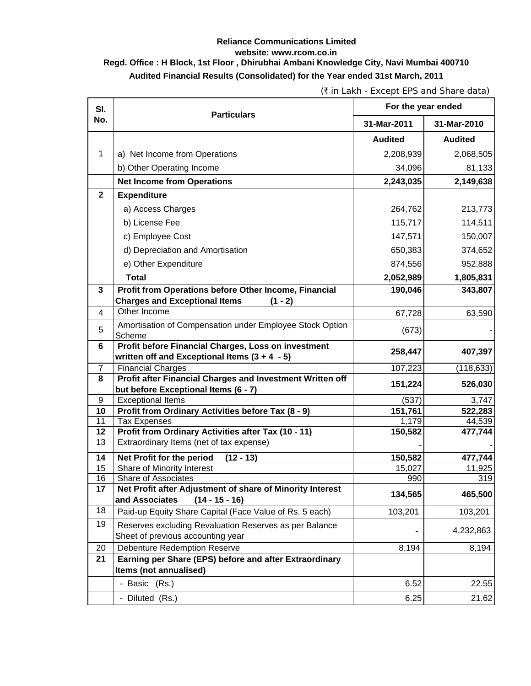## **Reliance Communications Limited website: www.rcom.co.in Regd. Office : H Block, 1st Floor , Dhirubhai Ambani Knowledge City, Navi Mumbai 400710 Audited Financial Results (Consolidated) for the Year ended 31st March, 2011**

(` in Lakh - Except EPS and Share data)

| SI.            | <b>Particulars</b>                                                                              | For the year ended |                |
|----------------|-------------------------------------------------------------------------------------------------|--------------------|----------------|
| No.            |                                                                                                 | 31-Mar-2011        | 31-Mar-2010    |
|                |                                                                                                 | <b>Audited</b>     | <b>Audited</b> |
| $\mathbf{1}$   | a) Net Income from Operations                                                                   | 2,208,939          | 2,068,505      |
|                | b) Other Operating Income                                                                       | 34,096             | 81,133         |
|                | <b>Net Income from Operations</b>                                                               | 2,243,035          | 2,149,638      |
| $\mathbf{2}$   | <b>Expenditure</b>                                                                              |                    |                |
|                | a) Access Charges                                                                               | 264,762            | 213,773        |
|                | b) License Fee                                                                                  | 115,717            | 114,511        |
|                | c) Employee Cost                                                                                | 147,571            | 150,007        |
|                |                                                                                                 |                    |                |
|                | d) Depreciation and Amortisation                                                                | 650,383            | 374,652        |
|                | e) Other Expenditure                                                                            | 874,556            | 952,888        |
|                | <b>Total</b>                                                                                    | 2,052,989          | 1,805,831      |
| 3              | Profit from Operations before Other Income, Financial                                           | 190,046            | 343,807        |
|                | <b>Charges and Exceptional Items</b><br>$(1 - 2)$<br>Other Income                               |                    |                |
| 4              |                                                                                                 | 67,728             | 63,590         |
| 5              | Amortisation of Compensation under Employee Stock Option                                        | (673)              |                |
| $6\phantom{1}$ | Scheme<br>Profit before Financial Charges, Loss on investment                                   |                    |                |
|                | written off and Exceptional Items $(3 + 4 - 5)$                                                 | 258,447            | 407,397        |
| $\overline{7}$ | <b>Financial Charges</b>                                                                        | 107,223            | (118, 633)     |
| 8              | Profit after Financial Charges and Investment Written off                                       |                    |                |
|                | but before Exceptional Items (6 - 7)                                                            | 151,224            | 526,030        |
| 9              | <b>Exceptional Items</b>                                                                        | (537)              | 3,747          |
| 10             | Profit from Ordinary Activities before Tax (8 - 9)                                              | 151,761            | 522,283        |
| 11             | <b>Tax Expenses</b>                                                                             | 1,179              | 44,539         |
| 12<br>13       | <b>Profit from Ordinary Activities after Tax (10 - 11)</b>                                      | 150,582            | 477,744        |
|                | Extraordinary Items (net of tax expense)                                                        |                    |                |
| 14             | Net Profit for the period<br>$(12 - 13)$                                                        | 150,582            | 477,744        |
| 15             | Share of Minority Interest                                                                      | 15,027             | 11,925         |
| 16             | Share of Associates                                                                             | 990                | 319            |
| 17             | Net Profit after Adjustment of share of Minority Interest<br>and Associates<br>$(14 - 15 - 16)$ | 134,565            | 465,500        |
| 18             | Paid-up Equity Share Capital (Face Value of Rs. 5 each)                                         | 103,201            | 103,201        |
| 19             | Reserves excluding Revaluation Reserves as per Balance                                          |                    | 4,232,863      |
|                | Sheet of previous accounting year                                                               |                    |                |
| 20             | <b>Debenture Redemption Reserve</b>                                                             | 8,194              | 8,194          |
| 21             | Earning per Share (EPS) before and after Extraordinary                                          |                    |                |
|                | Items (not annualised)                                                                          |                    |                |
|                | - Basic (Rs.)                                                                                   | 6.52               | 22.55          |
|                | - Diluted (Rs.)                                                                                 | 6.25               | 21.62          |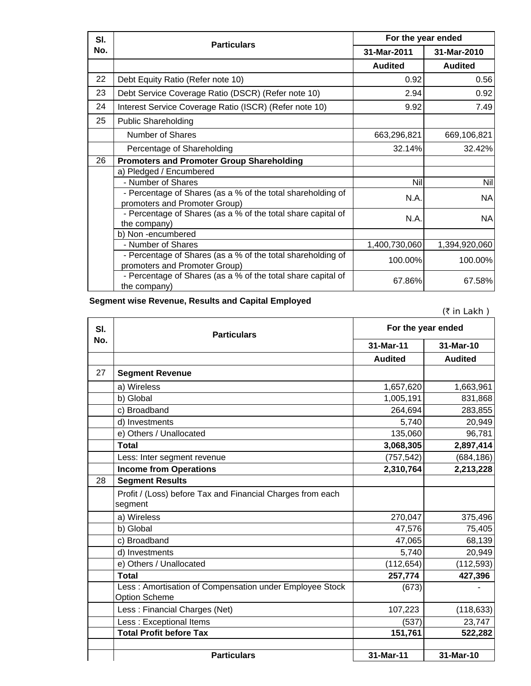| SI. | <b>Particulars</b>                                                                           | For the year ended |                |
|-----|----------------------------------------------------------------------------------------------|--------------------|----------------|
| No. |                                                                                              | 31-Mar-2011        | 31-Mar-2010    |
|     |                                                                                              | <b>Audited</b>     | <b>Audited</b> |
| 22  | Debt Equity Ratio (Refer note 10)                                                            | 0.92               | 0.56           |
| 23  | Debt Service Coverage Ratio (DSCR) (Refer note 10)                                           | 2.94               | 0.92           |
| 24  | Interest Service Coverage Ratio (ISCR) (Refer note 10)                                       | 9.92               | 7.49           |
| 25  | <b>Public Shareholding</b>                                                                   |                    |                |
|     | <b>Number of Shares</b>                                                                      | 663,296,821        | 669,106,821    |
|     | Percentage of Shareholding                                                                   | 32.14%             | 32.42%         |
| 26  | <b>Promoters and Promoter Group Shareholding</b>                                             |                    |                |
|     | a) Pledged / Encumbered                                                                      |                    |                |
|     | - Number of Shares                                                                           | Nil                | Nil            |
|     | - Percentage of Shares (as a % of the total shareholding of<br>promoters and Promoter Group) | N.A.               | <b>NA</b>      |
|     | - Percentage of Shares (as a % of the total share capital of<br>the company)                 | N.A.               | <b>NA</b>      |
|     | b) Non -encumbered                                                                           |                    |                |
|     | - Number of Shares                                                                           | 1,400,730,060      | 1,394,920,060  |
|     | - Percentage of Shares (as a % of the total shareholding of<br>promoters and Promoter Group) | 100.00%            | 100.00%        |
|     | - Percentage of Shares (as a % of the total share capital of<br>the company)                 | 67.86%             | 67.58%         |

**Segment wise Revenue, Results and Capital Employed**

 $($ ₹ in Lakh )

| SI.<br>No. | <b>Particulars</b>                                                              | For the year ended |                |
|------------|---------------------------------------------------------------------------------|--------------------|----------------|
|            |                                                                                 | 31-Mar-11          | 31-Mar-10      |
|            |                                                                                 | <b>Audited</b>     | <b>Audited</b> |
| 27         | <b>Segment Revenue</b>                                                          |                    |                |
|            | a) Wireless                                                                     | 1,657,620          | 1,663,961      |
|            | b) Global                                                                       | 1,005,191          | 831,868        |
|            | c) Broadband                                                                    | 264,694            | 283,855        |
|            | d) Investments                                                                  | 5,740              | 20,949         |
|            | e) Others / Unallocated                                                         | 135,060            | 96,781         |
|            | <b>Total</b>                                                                    | 3,068,305          | 2,897,414      |
|            | Less: Inter segment revenue                                                     | (757, 542)         | (684, 186)     |
|            | <b>Income from Operations</b>                                                   | 2,310,764          | 2,213,228      |
| 28         | <b>Segment Results</b>                                                          |                    |                |
|            | Profit / (Loss) before Tax and Financial Charges from each                      |                    |                |
|            | segment                                                                         |                    |                |
|            | a) Wireless                                                                     | 270,047            | 375,496        |
|            | b) Global                                                                       | 47,576             | 75,405         |
|            | c) Broadband                                                                    | 47,065             | 68,139         |
|            | d) Investments                                                                  | 5,740              | 20,949         |
|            | e) Others / Unallocated                                                         | (112, 654)         | (112, 593)     |
|            | <b>Total</b>                                                                    | 257,774            | 427,396        |
|            | Less: Amortisation of Compensation under Employee Stock<br><b>Option Scheme</b> | (673)              |                |
|            | Less: Financial Charges (Net)                                                   | 107,223            | (118, 633)     |
|            | Less : Exceptional Items                                                        | (537)              | 23,747         |
|            | <b>Total Profit before Tax</b>                                                  | 151,761            | 522,282        |
|            |                                                                                 |                    |                |
|            | <b>Particulars</b>                                                              | 31-Mar-11          | 31-Mar-10      |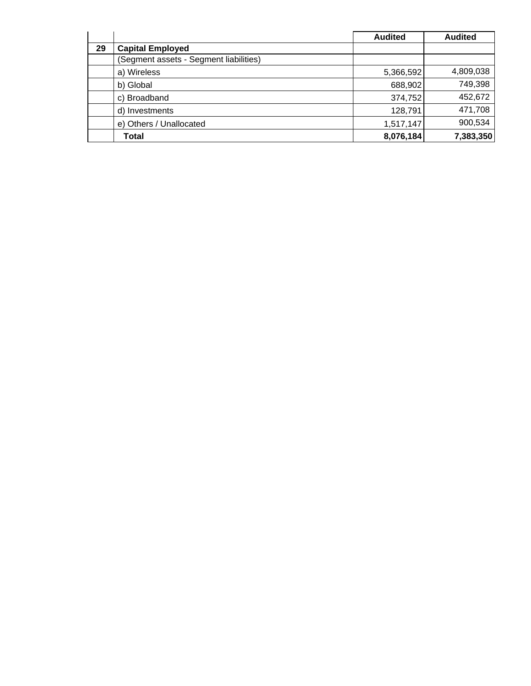|    |                                        | <b>Audited</b> | <b>Audited</b> |
|----|----------------------------------------|----------------|----------------|
| 29 | <b>Capital Employed</b>                |                |                |
|    | (Segment assets - Segment liabilities) |                |                |
|    | a) Wireless                            | 5,366,592      | 4,809,038      |
|    | b) Global                              | 688,902        | 749,398        |
|    | c) Broadband                           | 374,752        | 452,672        |
|    | d) Investments                         | 128,791        | 471,708        |
|    | e) Others / Unallocated                | 1,517,147      | 900,534        |
|    | Total                                  | 8,076,184      | 7,383,350      |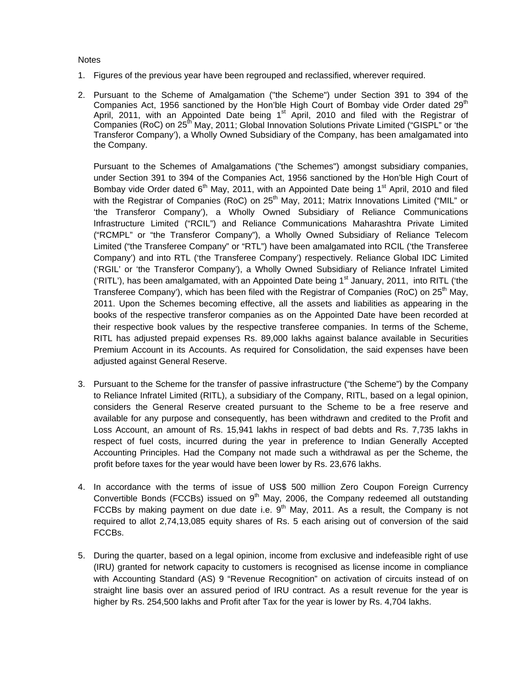**Notes** 

- 1. Figures of the previous year have been regrouped and reclassified, wherever required.
- 2. Pursuant to the Scheme of Amalgamation ("the Scheme") under Section 391 to 394 of the Companies Act, 1956 sanctioned by the Hon'ble High Court of Bombay vide Order dated 29<sup>th</sup> April, 2011, with an Appointed Date being 1st April, 2010 and filed with the Registrar of Companies (RoC) on 25<sup>th</sup> May, 2011; Global Innovation Solutions Private Limited ("GISPL" or 'the Transferor Company'), a Wholly Owned Subsidiary of the Company, has been amalgamated into the Company.

Pursuant to the Schemes of Amalgamations ("the Schemes") amongst subsidiary companies, under Section 391 to 394 of the Companies Act, 1956 sanctioned by the Hon'ble High Court of Bombay vide Order dated  $6<sup>th</sup>$  May, 2011, with an Appointed Date being 1<sup>st</sup> April, 2010 and filed with the Registrar of Companies (RoC) on 25<sup>th</sup> May, 2011; Matrix Innovations Limited ("MIL" or 'the Transferor Company'), a Wholly Owned Subsidiary of Reliance Communications Infrastructure Limited ("RCIL") and Reliance Communications Maharashtra Private Limited ("RCMPL" or "the Transferor Company"), a Wholly Owned Subsidiary of Reliance Telecom Limited ("the Transferee Company" or "RTL") have been amalgamated into RCIL ('the Transferee Company') and into RTL ('the Transferee Company') respectively. Reliance Global IDC Limited ('RGIL' or 'the Transferor Company'), a Wholly Owned Subsidiary of Reliance Infratel Limited ('RITL'), has been amalgamated, with an Appointed Date being  $1<sup>st</sup>$  January, 2011, into RITL ('the Transferee Company'), which has been filed with the Registrar of Companies (RoC) on  $25<sup>th</sup>$  May, 2011. Upon the Schemes becoming effective, all the assets and liabilities as appearing in the books of the respective transferor companies as on the Appointed Date have been recorded at their respective book values by the respective transferee companies. In terms of the Scheme, RITL has adjusted prepaid expenses Rs. 89,000 lakhs against balance available in Securities Premium Account in its Accounts. As required for Consolidation, the said expenses have been adjusted against General Reserve.

- 3. Pursuant to the Scheme for the transfer of passive infrastructure ("the Scheme") by the Company to Reliance Infratel Limited (RITL), a subsidiary of the Company, RITL, based on a legal opinion, considers the General Reserve created pursuant to the Scheme to be a free reserve and available for any purpose and consequently, has been withdrawn and credited to the Profit and Loss Account, an amount of Rs. 15,941 lakhs in respect of bad debts and Rs. 7,735 lakhs in respect of fuel costs, incurred during the year in preference to Indian Generally Accepted Accounting Principles. Had the Company not made such a withdrawal as per the Scheme, the profit before taxes for the year would have been lower by Rs. 23,676 lakhs.
- 4. In accordance with the terms of issue of US\$ 500 million Zero Coupon Foreign Currency Convertible Bonds (FCCBs) issued on 9<sup>th</sup> May, 2006, the Company redeemed all outstanding FCCBs by making payment on due date i.e.  $9<sup>th</sup>$  May, 2011. As a result, the Company is not required to allot 2,74,13,085 equity shares of Rs. 5 each arising out of conversion of the said FCCBs.
- 5. During the quarter, based on a legal opinion, income from exclusive and indefeasible right of use (IRU) granted for network capacity to customers is recognised as license income in compliance with Accounting Standard (AS) 9 "Revenue Recognition" on activation of circuits instead of on straight line basis over an assured period of IRU contract. As a result revenue for the year is higher by Rs. 254,500 lakhs and Profit after Tax for the year is lower by Rs. 4,704 lakhs.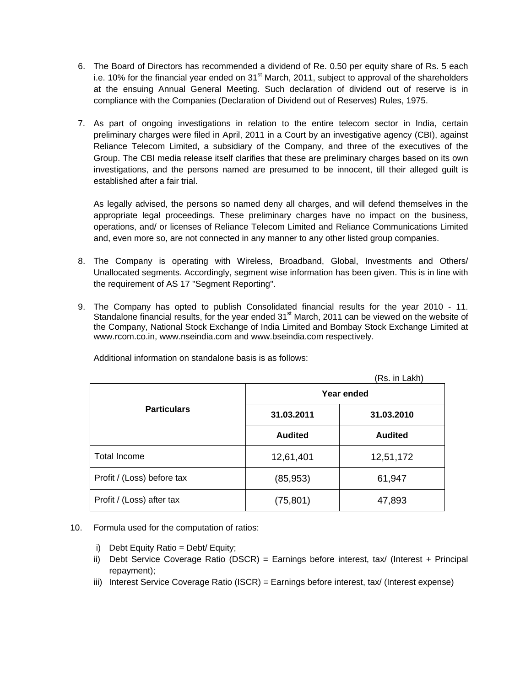- 6. The Board of Directors has recommended a dividend of Re. 0.50 per equity share of Rs. 5 each i.e. 10% for the financial year ended on  $31<sup>st</sup>$  March, 2011, subject to approval of the shareholders at the ensuing Annual General Meeting. Such declaration of dividend out of reserve is in compliance with the Companies (Declaration of Dividend out of Reserves) Rules, 1975.
- 7. As part of ongoing investigations in relation to the entire telecom sector in India, certain preliminary charges were filed in April, 2011 in a Court by an investigative agency (CBI), against Reliance Telecom Limited, a subsidiary of the Company, and three of the executives of the Group. The CBI media release itself clarifies that these are preliminary charges based on its own investigations, and the persons named are presumed to be innocent, till their alleged guilt is established after a fair trial.

As legally advised, the persons so named deny all charges, and will defend themselves in the appropriate legal proceedings. These preliminary charges have no impact on the business, operations, and/ or licenses of Reliance Telecom Limited and Reliance Communications Limited and, even more so, are not connected in any manner to any other listed group companies.

- 8. The Company is operating with Wireless, Broadband, Global, Investments and Others/ Unallocated segments. Accordingly, segment wise information has been given. This is in line with the requirement of AS 17 "Segment Reporting".
- 9. The Company has opted to publish Consolidated financial results for the year 2010 11. Standalone financial results, for the year ended 31<sup>st</sup> March, 2011 can be viewed on the website of the Company, National Stock Exchange of India Limited and Bombay Stock Exchange Limited at www.rcom.co.in, www.nseindia.com and www.bseindia.com respectively.

|                            |                | (Rs. in Lakh)  |  |  |
|----------------------------|----------------|----------------|--|--|
|                            | Year ended     |                |  |  |
| <b>Particulars</b>         | 31.03.2011     | 31.03.2010     |  |  |
|                            | <b>Audited</b> | <b>Audited</b> |  |  |
| Total Income               | 12,61,401      | 12,51,172      |  |  |
| Profit / (Loss) before tax | (85, 953)      | 61,947         |  |  |
| Profit / (Loss) after tax  | (75, 801)      | 47,893         |  |  |

Additional information on standalone basis is as follows:

- 10. Formula used for the computation of ratios:
	- i) Debt Equity Ratio = Debt/ Equity;
	- ii) Debt Service Coverage Ratio (DSCR) = Earnings before interest, tax/ (Interest + Principal repayment);
	- iii) Interest Service Coverage Ratio (ISCR) = Earnings before interest, tax/ (Interest expense)